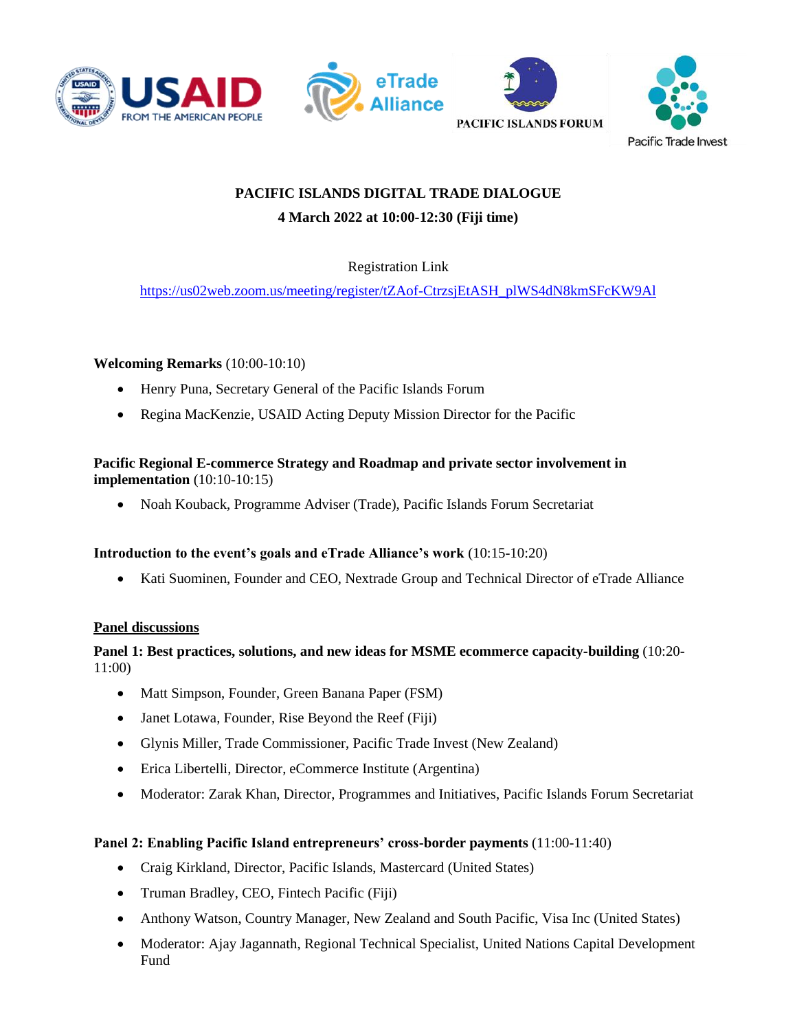





# **PACIFIC ISLANDS DIGITAL TRADE DIALOGUE 4 March 2022 at 10:00-12:30 (Fiji time)**

# Registration Link

[https://us02web.zoom.us/meeting/register/tZAof-CtrzsjEtASH\\_plWS4dN8kmSFcKW9Al](https://us02web.zoom.us/meeting/register/tZAof-CtrzsjEtASH_plWS4dN8kmSFcKW9Al)

#### **Welcoming Remarks** (10:00-10:10)

- Henry Puna, Secretary General of the Pacific Islands Forum
- Regina MacKenzie, USAID Acting Deputy Mission Director for the Pacific

# **Pacific Regional E-commerce Strategy and Roadmap and private sector involvement in implementation** (10:10-10:15)

• Noah Kouback, Programme Adviser (Trade), Pacific Islands Forum Secretariat

# **Introduction to the event's goals and eTrade Alliance's work** (10:15-10:20)

• Kati Suominen, Founder and CEO, Nextrade Group and Technical Director of eTrade Alliance

#### **Panel discussions**

# **Panel 1: Best practices, solutions, and new ideas for MSME ecommerce capacity-building** (10:20- 11:00)

- Matt Simpson, Founder, Green Banana Paper (FSM)
- Janet Lotawa, Founder, Rise Beyond the Reef (Fiji)
- Glynis Miller, Trade Commissioner, Pacific Trade Invest (New Zealand)
- Erica Libertelli, Director, eCommerce Institute (Argentina)
- Moderator: Zarak Khan, Director, Programmes and Initiatives, Pacific Islands Forum Secretariat

# **Panel 2: Enabling Pacific Island entrepreneurs' cross-border payments** (11:00-11:40)

- Craig Kirkland, Director, Pacific Islands, Mastercard (United States)
- Truman Bradley, CEO, Fintech Pacific (Fiji)
- Anthony Watson, Country Manager, New Zealand and South Pacific, Visa Inc (United States)
- Moderator: Ajay Jagannath, Regional Technical Specialist, United Nations Capital Development Fund